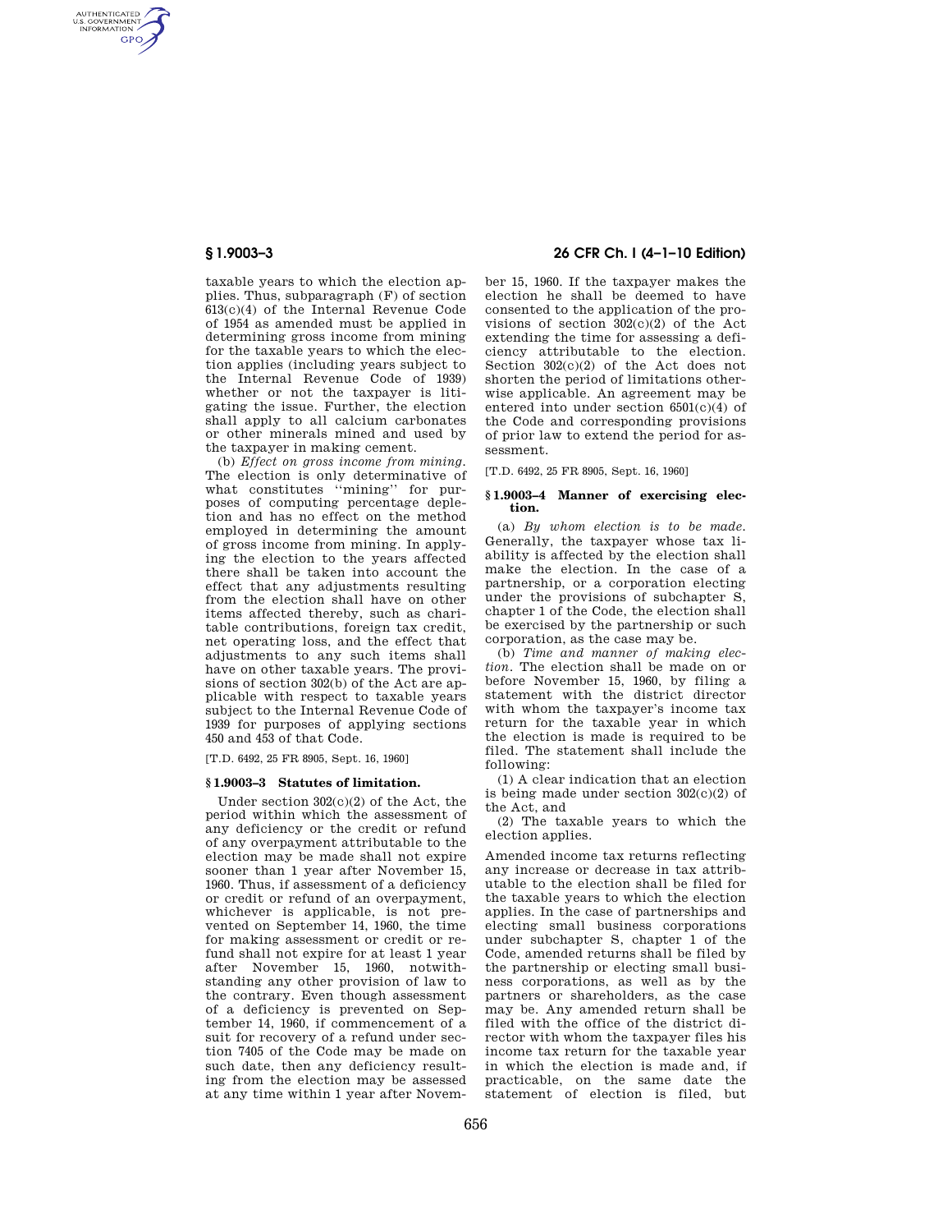AUTHENTICATED<br>U.S. GOVERNMENT<br>INFORMATION **GPO** 

> taxable years to which the election applies. Thus, subparagraph (F) of section 613(c)(4) of the Internal Revenue Code of 1954 as amended must be applied in determining gross income from mining for the taxable years to which the election applies (including years subject to the Internal Revenue Code of 1939) whether or not the taxpayer is litigating the issue. Further, the election shall apply to all calcium carbonates or other minerals mined and used by the taxpayer in making cement.

> (b) *Effect on gross income from mining.*  The election is only determinative of what constitutes ''mining'' for purposes of computing percentage depletion and has no effect on the method employed in determining the amount of gross income from mining. In applying the election to the years affected there shall be taken into account the effect that any adjustments resulting from the election shall have on other items affected thereby, such as charitable contributions, foreign tax credit, net operating loss, and the effect that adjustments to any such items shall have on other taxable years. The provisions of section 302(b) of the Act are applicable with respect to taxable years subject to the Internal Revenue Code of 1939 for purposes of applying sections 450 and 453 of that Code.

[T.D. 6492, 25 FR 8905, Sept. 16, 1960]

#### **§ 1.9003–3 Statutes of limitation.**

Under section 302(c)(2) of the Act, the period within which the assessment of any deficiency or the credit or refund of any overpayment attributable to the election may be made shall not expire sooner than 1 year after November 15, 1960. Thus, if assessment of a deficiency or credit or refund of an overpayment, whichever is applicable, is not prevented on September 14, 1960, the time for making assessment or credit or refund shall not expire for at least 1 year after November 15, 1960, notwithstanding any other provision of law to the contrary. Even though assessment of a deficiency is prevented on September 14, 1960, if commencement of a suit for recovery of a refund under section 7405 of the Code may be made on such date, then any deficiency resulting from the election may be assessed at any time within 1 year after Novem-

## **§ 1.9003–3 26 CFR Ch. I (4–1–10 Edition)**

ber 15, 1960. If the taxpayer makes the election he shall be deemed to have consented to the application of the provisions of section 302(c)(2) of the Act extending the time for assessing a deficiency attributable to the election. Section 302(c)(2) of the Act does not shorten the period of limitations otherwise applicable. An agreement may be entered into under section 6501(c)(4) of the Code and corresponding provisions of prior law to extend the period for assessment.

[T.D. 6492, 25 FR 8905, Sept. 16, 1960]

### **§ 1.9003–4 Manner of exercising election.**

(a) *By whom election is to be made.*  Generally, the taxpayer whose tax liability is affected by the election shall make the election. In the case of a partnership, or a corporation electing under the provisions of subchapter S, chapter 1 of the Code, the election shall be exercised by the partnership or such corporation, as the case may be.

(b) *Time and manner of making election.* The election shall be made on or before November 15, 1960, by filing a statement with the district director with whom the taxpayer's income tax return for the taxable year in which the election is made is required to be filed. The statement shall include the following:

(1) A clear indication that an election is being made under section  $302(c)(2)$  of the Act, and

(2) The taxable years to which the election applies.

Amended income tax returns reflecting any increase or decrease in tax attributable to the election shall be filed for the taxable years to which the election applies. In the case of partnerships and electing small business corporations under subchapter S, chapter 1 of the Code, amended returns shall be filed by the partnership or electing small business corporations, as well as by the partners or shareholders, as the case may be. Any amended return shall be filed with the office of the district director with whom the taxpayer files his income tax return for the taxable year in which the election is made and, if practicable, on the same date the statement of election is filed, but